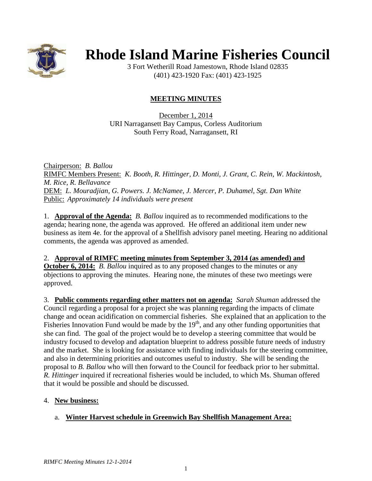

# **Rhode Island Marine Fisheries Council**

3 Fort Wetherill Road Jamestown, Rhode Island 02835 (401) 423-1920 Fax: (401) 423-1925

## **MEETING MINUTES**

December 1, 2014 URI Narragansett Bay Campus, Corless Auditorium South Ferry Road, Narragansett, RI

Chairperson: *B. Ballou* RIMFC Members Present: *K. Booth, R. Hittinger, D. Monti, J. Grant, C. Rein, W. Mackintosh, M. Rice, R. Bellavance* DEM: *L. Mouradjian, G. Powers. J. McNamee, J. Mercer, P. Duhamel, Sgt. Dan White* Public: *Approximately 14 individuals were present*

1. **Approval of the Agenda:** *B. Ballou* inquired as to recommended modifications to the agenda; hearing none, the agenda was approved. He offered an additional item under new business as item 4e. for the approval of a Shellfish advisory panel meeting. Hearing no additional comments, the agenda was approved as amended.

#### 2. **Approval of RIMFC meeting minutes from September 3, 2014 (as amended) and October 6, 2014:** *B. Ballou* inquired as to any proposed changes to the minutes or any objections to approving the minutes. Hearing none, the minutes of these two meetings were approved.

3. **Public comments regarding other matters not on agenda:** *Sarah Shuman* addressed the Council regarding a proposal for a project she was planning regarding the impacts of climate change and ocean acidification on commercial fisheries. She explained that an application to the Fisheries Innovation Fund would be made by the  $19<sup>th</sup>$ , and any other funding opportunities that she can find. The goal of the project would be to develop a steering committee that would be industry focused to develop and adaptation blueprint to address possible future needs of industry and the market. She is looking for assistance with finding individuals for the steering committee, and also in determining priorities and outcomes useful to industry. She will be sending the proposal to *B. Ballou* who will then forward to the Council for feedback prior to her submittal. *R. Hittinger* inquired if recreational fisheries would be included, to which Ms. Shuman offered that it would be possible and should be discussed.

## 4. **New business:**

## a. **Winter Harvest schedule in Greenwich Bay Shellfish Management Area:**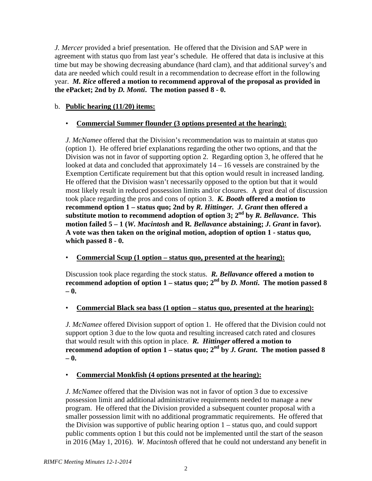*J. Mercer* provided a brief presentation. He offered that the Division and SAP were in agreement with status quo from last year's schedule. He offered that data is inclusive at this time but may be showing decreasing abundance (hard clam), and that additional survey's and data are needed which could result in a recommendation to decrease effort in the following year. *M. Rice* **offered a motion to recommend approval of the proposal as provided in the ePacket; 2nd by** *D. Monti***. The motion passed 8 - 0.**

## b. **Public hearing (11/20) items:**

## • **Commercial Summer flounder (3 options presented at the hearing):**

*J. McNamee* offered that the Division's recommendation was to maintain at status quo (option 1). He offered brief explanations regarding the other two options, and that the Division was not in favor of supporting option 2. Regarding option 3, he offered that he looked at data and concluded that approximately 14 – 16 vessels are constrained by the Exemption Certificate requirement but that this option would result in increased landing. He offered that the Division wasn't necessarily opposed to the option but that it would most likely result in reduced possession limits and/or closures. A great deal of discussion took place regarding the pros and cons of option 3. *K. Booth* **offered a motion to recommend option 1 – status quo; 2nd by** *R. Hittinger.**J. Grant* **then offered a substitute motion to recommend adoption of option 3; 2nd by** *R. Bellavance***. This motion failed 5 – 1 (***W. Macintosh* **and R***. Bellavance* **abstaining;** *J. Grant* **in favor). A vote was then taken on the original motion, adoption of option 1 - status quo, which passed 8 - 0.**

• **Commercial Scup (1 option – status quo, presented at the hearing):**

Discussion took place regarding the stock status. *R. Bellavance* **offered a motion to recommend adoption of option 1** – **status** quo;  $2^{nd}$  **by** *D. Monti***.** The motion passed 8 **– 0.**

• **Commercial Black sea bass (1 option – status quo, presented at the hearing):**

*J. McNamee* offered Division support of option 1. He offered that the Division could not support option 3 due to the low quota and resulting increased catch rated and closures that would result with this option in place. *R. Hittinger* **offered a motion to recommend adoption of option 1 – status quo;**  $2^{nd}$  by *J. Grant*. The motion passed 8 **– 0.**

#### • **Commercial Monkfish (4 options presented at the hearing):**

*J. McNamee* offered that the Division was not in favor of option 3 due to excessive possession limit and additional administrative requirements needed to manage a new program. He offered that the Division provided a subsequent counter proposal with a smaller possession limit with no additional programmatic requirements. He offered that the Division was supportive of public hearing option 1 – status quo, and could support public comments option 1 but this could not be implemented until the start of the season in 2016 (May 1, 2016). *W. Macintosh* offered that he could not understand any benefit in